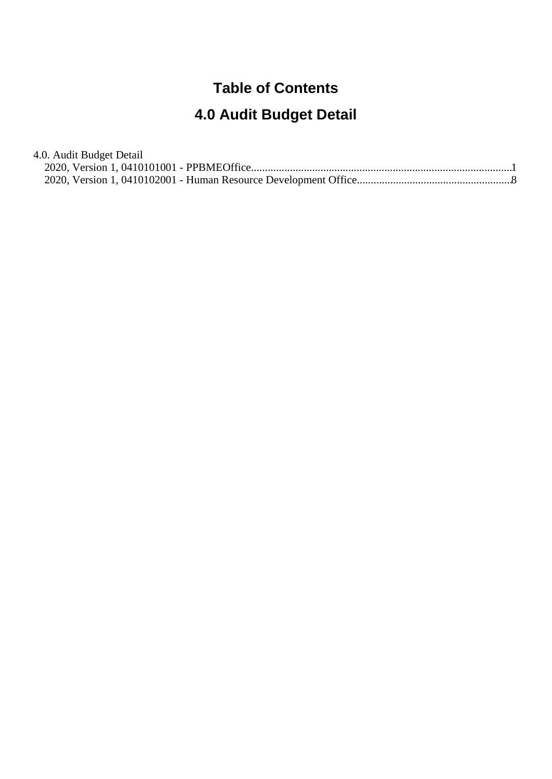## **Table of Contents**

# **4.0 Audit Budget Detail**

| 4.0. Audit Budget Detail |  |
|--------------------------|--|
|                          |  |
|                          |  |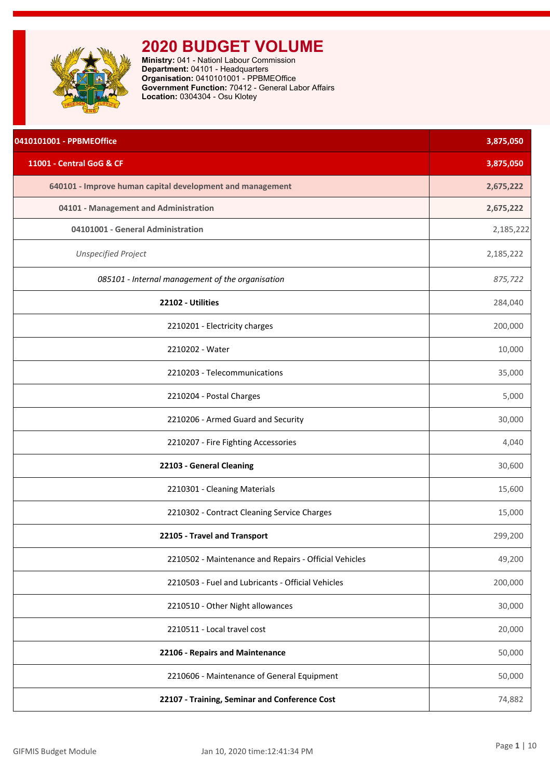<span id="page-1-0"></span>

| 0410101001 - PPBMEOffice                                  | 3,875,050 |
|-----------------------------------------------------------|-----------|
| 11001 - Central GoG & CF                                  | 3,875,050 |
| 640101 - Improve human capital development and management | 2,675,222 |
| 04101 - Management and Administration                     | 2,675,222 |
| 04101001 - General Administration                         | 2,185,222 |
| <b>Unspecified Project</b>                                | 2,185,222 |
| 085101 - Internal management of the organisation          | 875,722   |
| 22102 - Utilities                                         | 284,040   |
| 2210201 - Electricity charges                             | 200,000   |
| 2210202 - Water                                           | 10,000    |
| 2210203 - Telecommunications                              | 35,000    |
| 2210204 - Postal Charges                                  | 5,000     |
| 2210206 - Armed Guard and Security                        | 30,000    |
| 2210207 - Fire Fighting Accessories                       | 4,040     |
| 22103 - General Cleaning                                  | 30,600    |
| 2210301 - Cleaning Materials                              | 15,600    |
| 2210302 - Contract Cleaning Service Charges               | 15,000    |
| 22105 - Travel and Transport                              | 299,200   |
| 2210502 - Maintenance and Repairs - Official Vehicles     | 49,200    |
| 2210503 - Fuel and Lubricants - Official Vehicles         | 200,000   |
| 2210510 - Other Night allowances                          | 30,000    |
| 2210511 - Local travel cost                               | 20,000    |
| 22106 - Repairs and Maintenance                           | 50,000    |
| 2210606 - Maintenance of General Equipment                | 50,000    |
| 22107 - Training, Seminar and Conference Cost             | 74,882    |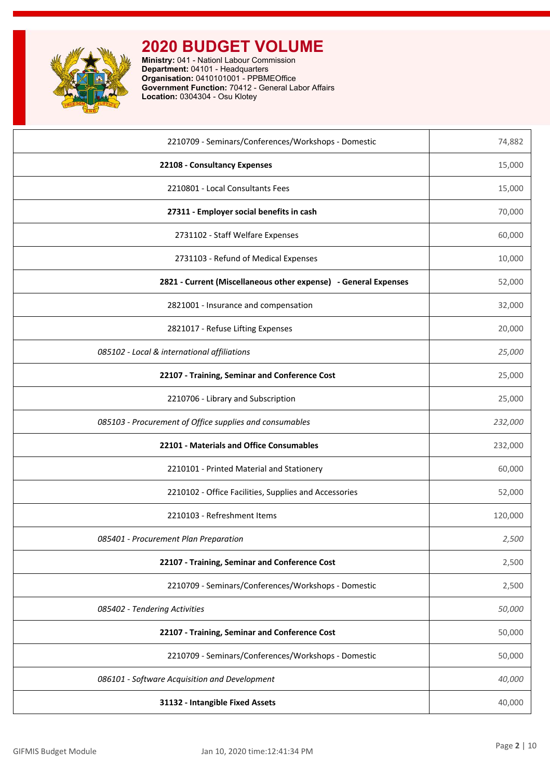

| 2210709 - Seminars/Conferences/Workshops - Domestic             | 74,882  |
|-----------------------------------------------------------------|---------|
| 22108 - Consultancy Expenses                                    | 15,000  |
| 2210801 - Local Consultants Fees                                | 15,000  |
| 27311 - Employer social benefits in cash                        | 70,000  |
| 2731102 - Staff Welfare Expenses                                | 60,000  |
| 2731103 - Refund of Medical Expenses                            | 10,000  |
| 2821 - Current (Miscellaneous other expense) - General Expenses | 52,000  |
| 2821001 - Insurance and compensation                            | 32,000  |
| 2821017 - Refuse Lifting Expenses                               | 20,000  |
| 085102 - Local & international affiliations                     | 25,000  |
| 22107 - Training, Seminar and Conference Cost                   | 25,000  |
| 2210706 - Library and Subscription                              | 25,000  |
| 085103 - Procurement of Office supplies and consumables         | 232,000 |
| 22101 - Materials and Office Consumables                        | 232,000 |
| 2210101 - Printed Material and Stationery                       | 60,000  |
| 2210102 - Office Facilities, Supplies and Accessories           | 52,000  |
| 2210103 - Refreshment Items                                     | 120,000 |
| 085401 - Procurement Plan Preparation                           | 2,500   |
| 22107 - Training, Seminar and Conference Cost                   | 2,500   |
| 2210709 - Seminars/Conferences/Workshops - Domestic             | 2,500   |
| 085402 - Tendering Activities                                   | 50,000  |
| 22107 - Training, Seminar and Conference Cost                   | 50,000  |
| 2210709 - Seminars/Conferences/Workshops - Domestic             | 50,000  |
| 086101 - Software Acquisition and Development                   | 40,000  |
| 31132 - Intangible Fixed Assets                                 | 40,000  |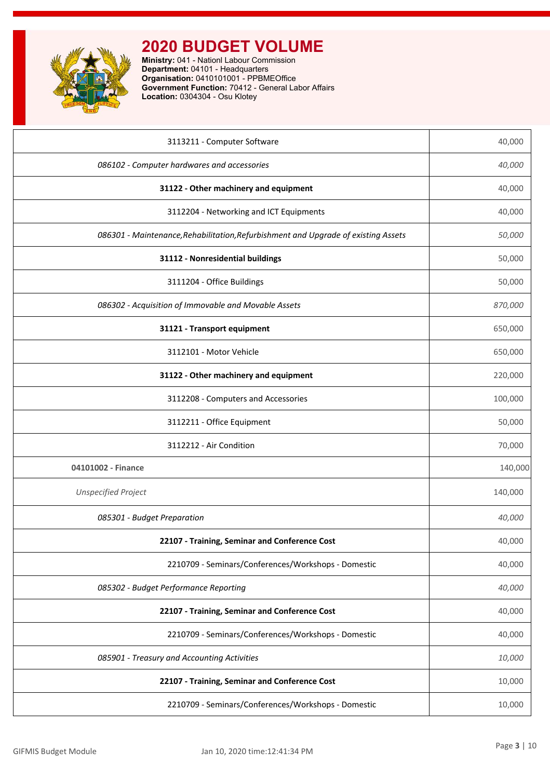

| 3113211 - Computer Software                                                        | 40,000  |
|------------------------------------------------------------------------------------|---------|
| 086102 - Computer hardwares and accessories                                        | 40,000  |
| 31122 - Other machinery and equipment                                              | 40,000  |
| 3112204 - Networking and ICT Equipments                                            | 40,000  |
| 086301 - Maintenance, Rehabilitation, Refurbishment and Upgrade of existing Assets | 50,000  |
| 31112 - Nonresidential buildings                                                   | 50,000  |
| 3111204 - Office Buildings                                                         | 50,000  |
| 086302 - Acquisition of Immovable and Movable Assets                               | 870,000 |
| 31121 - Transport equipment                                                        | 650,000 |
| 3112101 - Motor Vehicle                                                            | 650,000 |
| 31122 - Other machinery and equipment                                              | 220,000 |
| 3112208 - Computers and Accessories                                                | 100,000 |
| 3112211 - Office Equipment                                                         | 50,000  |
| 3112212 - Air Condition                                                            | 70,000  |
| 04101002 - Finance                                                                 | 140,000 |
| <b>Unspecified Project</b>                                                         | 140,000 |
| 085301 - Budget Preparation                                                        | 40,000  |
| 22107 - Training, Seminar and Conference Cost                                      | 40,000  |
| 2210709 - Seminars/Conferences/Workshops - Domestic                                | 40,000  |
| 085302 - Budget Performance Reporting                                              | 40,000  |
| 22107 - Training, Seminar and Conference Cost                                      | 40,000  |
| 2210709 - Seminars/Conferences/Workshops - Domestic                                | 40,000  |
| 085901 - Treasury and Accounting Activities                                        | 10,000  |
| 22107 - Training, Seminar and Conference Cost                                      | 10,000  |
| 2210709 - Seminars/Conferences/Workshops - Domestic                                | 10,000  |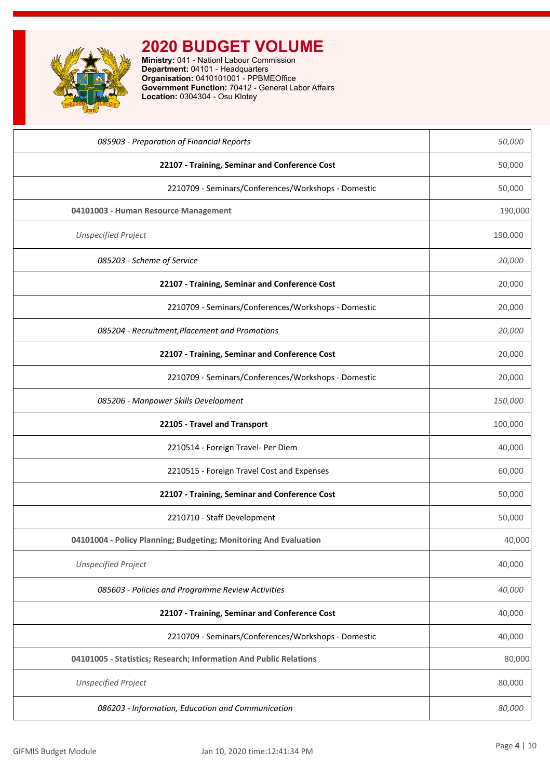| 085903 - Preparation of Financial Reports                         | 50,000  |
|-------------------------------------------------------------------|---------|
| 22107 - Training, Seminar and Conference Cost                     | 50,000  |
| 2210709 - Seminars/Conferences/Workshops - Domestic               | 50,000  |
| 04101003 - Human Resource Management                              | 190,000 |
| <b>Unspecified Project</b>                                        | 190,000 |
| 085203 - Scheme of Service                                        | 20,000  |
| 22107 - Training, Seminar and Conference Cost                     | 20,000  |
| 2210709 - Seminars/Conferences/Workshops - Domestic               | 20,000  |
| 085204 - Recruitment, Placement and Promotions                    | 20,000  |
| 22107 - Training, Seminar and Conference Cost                     | 20,000  |
| 2210709 - Seminars/Conferences/Workshops - Domestic               | 20,000  |
| 085206 - Manpower Skills Development                              | 150,000 |
| 22105 - Travel and Transport                                      | 100,000 |
| 2210514 - Foreign Travel- Per Diem                                | 40,000  |
| 2210515 - Foreign Travel Cost and Expenses                        | 60,000  |
| 22107 - Training, Seminar and Conference Cost                     | 50,000  |
| 2210710 - Staff Development                                       | 50,000  |
| 04101004 - Policy Planning; Budgeting; Monitoring And Evaluation  | 40,000  |
| <b>Unspecified Project</b>                                        | 40,000  |
| 085603 - Policies and Programme Review Activities                 | 40,000  |
| 22107 - Training, Seminar and Conference Cost                     | 40,000  |
| 2210709 - Seminars/Conferences/Workshops - Domestic               | 40,000  |
| 04101005 - Statistics; Research; Information And Public Relations | 80,000  |
| <b>Unspecified Project</b>                                        | 80,000  |
| 086203 - Information, Education and Communication                 | 80,000  |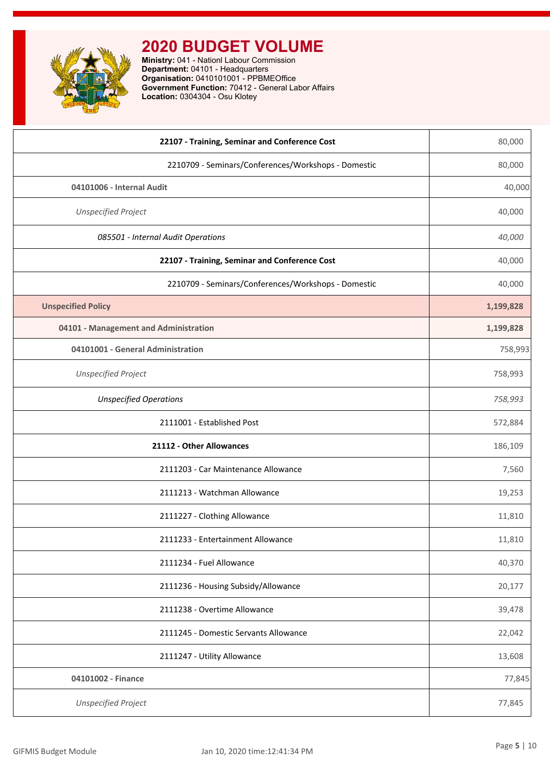

| 22107 - Training, Seminar and Conference Cost       | 80,000    |
|-----------------------------------------------------|-----------|
| 2210709 - Seminars/Conferences/Workshops - Domestic | 80,000    |
| 04101006 - Internal Audit                           | 40,000    |
| <b>Unspecified Project</b>                          | 40,000    |
| 085501 - Internal Audit Operations                  | 40,000    |
| 22107 - Training, Seminar and Conference Cost       | 40,000    |
| 2210709 - Seminars/Conferences/Workshops - Domestic | 40,000    |
| <b>Unspecified Policy</b>                           | 1,199,828 |
| 04101 - Management and Administration               | 1,199,828 |
| 04101001 - General Administration                   | 758,993   |
| <b>Unspecified Project</b>                          | 758,993   |
| <b>Unspecified Operations</b>                       | 758,993   |
| 2111001 - Established Post                          | 572,884   |
| 21112 - Other Allowances                            | 186,109   |
| 2111203 - Car Maintenance Allowance                 | 7,560     |
| 2111213 - Watchman Allowance                        | 19,253    |
| 2111227 - Clothing Allowance                        | 11,810    |
| 2111233 - Entertainment Allowance                   | 11,810    |
| 2111234 - Fuel Allowance                            | 40,370    |
| 2111236 - Housing Subsidy/Allowance                 | 20,177    |
| 2111238 - Overtime Allowance                        | 39,478    |
| 2111245 - Domestic Servants Allowance               | 22,042    |
| 2111247 - Utility Allowance                         | 13,608    |
| 04101002 - Finance                                  | 77,845    |
| <b>Unspecified Project</b>                          | 77,845    |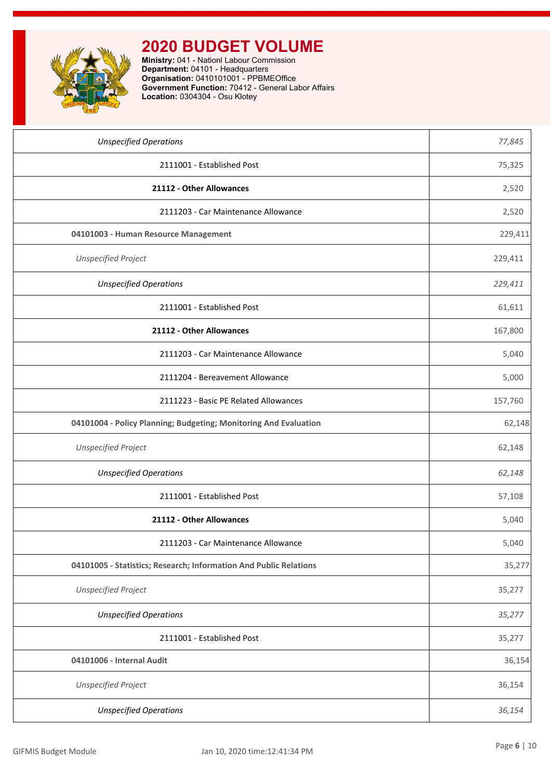

| <b>Unspecified Operations</b>                                     | 77,845  |
|-------------------------------------------------------------------|---------|
| 2111001 - Established Post                                        | 75,325  |
| 21112 - Other Allowances                                          | 2,520   |
| 2111203 - Car Maintenance Allowance                               | 2,520   |
| 04101003 - Human Resource Management                              | 229,411 |
| <b>Unspecified Project</b>                                        | 229,411 |
| <b>Unspecified Operations</b>                                     | 229,411 |
| 2111001 - Established Post                                        | 61,611  |
| 21112 - Other Allowances                                          | 167,800 |
| 2111203 - Car Maintenance Allowance                               | 5,040   |
| 2111204 - Bereavement Allowance                                   | 5,000   |
| 2111223 - Basic PE Related Allowances                             | 157,760 |
| 04101004 - Policy Planning; Budgeting; Monitoring And Evaluation  | 62,148  |
| <b>Unspecified Project</b>                                        | 62,148  |
| <b>Unspecified Operations</b>                                     | 62,148  |
| 2111001 - Established Post                                        | 57,108  |
| 21112 - Other Allowances                                          | 5,040   |
| 2111203 - Car Maintenance Allowance                               | 5,040   |
| 04101005 - Statistics; Research; Information And Public Relations | 35,277  |
| <b>Unspecified Project</b>                                        | 35,277  |
| <b>Unspecified Operations</b>                                     | 35,277  |
| 2111001 - Established Post                                        | 35,277  |
| 04101006 - Internal Audit                                         | 36,154  |
| <b>Unspecified Project</b>                                        | 36,154  |
| <b>Unspecified Operations</b>                                     | 36,154  |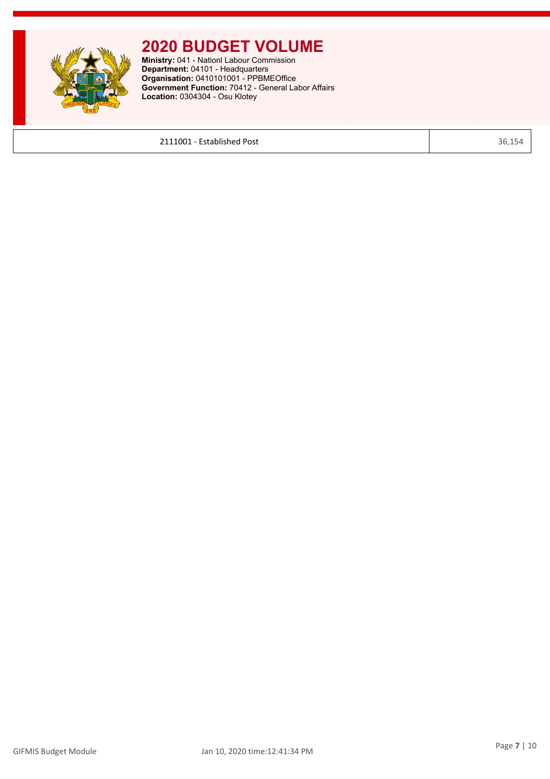

**Ministry:** 041 - Nationl Labour Commission **Department:** 04101 - Headquarters **Organisation:** 0410101001 - PPBMEOffice **Government Function:** 70412 - General Labor Affairs **Location:** 0304304 - Osu Klotey

**2111001 - Established Post** 36,154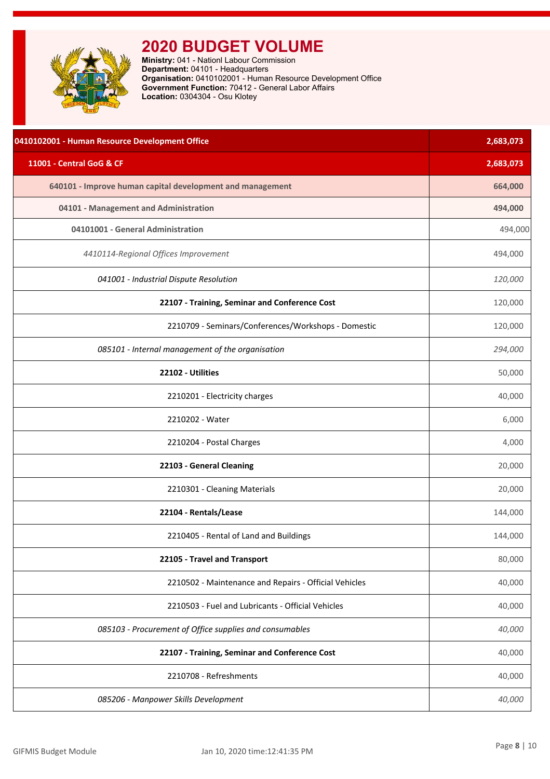<span id="page-8-0"></span>

| 0410102001 - Human Resource Development Office            | 2,683,073 |
|-----------------------------------------------------------|-----------|
| 11001 - Central GoG & CF                                  | 2,683,073 |
| 640101 - Improve human capital development and management | 664,000   |
| 04101 - Management and Administration                     | 494,000   |
| 04101001 - General Administration                         | 494,000   |
| 4410114-Regional Offices Improvement                      | 494,000   |
| 041001 - Industrial Dispute Resolution                    | 120,000   |
| 22107 - Training, Seminar and Conference Cost             | 120,000   |
| 2210709 - Seminars/Conferences/Workshops - Domestic       | 120,000   |
| 085101 - Internal management of the organisation          | 294,000   |
| 22102 - Utilities                                         | 50,000    |
| 2210201 - Electricity charges                             | 40,000    |
| 2210202 - Water                                           | 6,000     |
| 2210204 - Postal Charges                                  | 4,000     |
| 22103 - General Cleaning                                  | 20,000    |
| 2210301 - Cleaning Materials                              | 20,000    |
| 22104 - Rentals/Lease                                     | 144,000   |
| 2210405 - Rental of Land and Buildings                    | 144,000   |
| 22105 - Travel and Transport                              | 80,000    |
| 2210502 - Maintenance and Repairs - Official Vehicles     | 40,000    |
| 2210503 - Fuel and Lubricants - Official Vehicles         | 40,000    |
| 085103 - Procurement of Office supplies and consumables   | 40,000    |
| 22107 - Training, Seminar and Conference Cost             | 40,000    |
| 2210708 - Refreshments                                    | 40,000    |
| 085206 - Manpower Skills Development                      | 40,000    |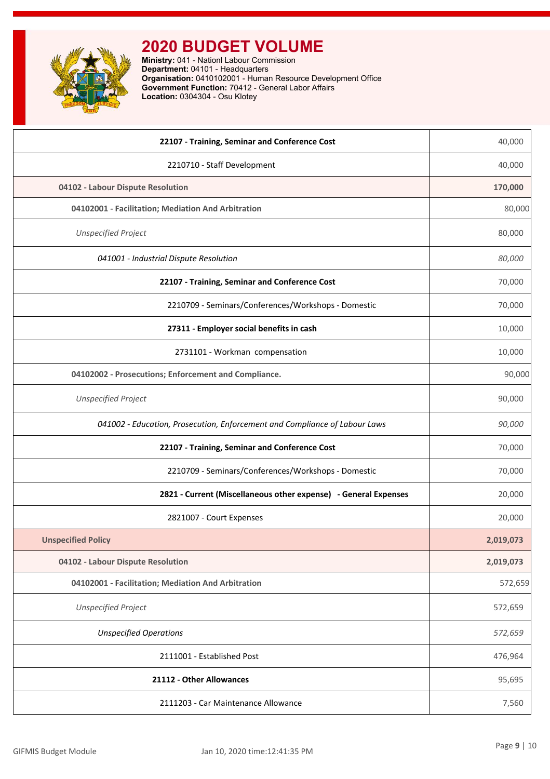

| 22107 - Training, Seminar and Conference Cost                              | 40,000    |
|----------------------------------------------------------------------------|-----------|
| 2210710 - Staff Development                                                | 40,000    |
| 04102 - Labour Dispute Resolution                                          | 170,000   |
| 04102001 - Facilitation; Mediation And Arbitration                         | 80,000    |
| <b>Unspecified Project</b>                                                 | 80,000    |
| 041001 - Industrial Dispute Resolution                                     | 80,000    |
| 22107 - Training, Seminar and Conference Cost                              | 70,000    |
| 2210709 - Seminars/Conferences/Workshops - Domestic                        | 70,000    |
| 27311 - Employer social benefits in cash                                   | 10,000    |
| 2731101 - Workman compensation                                             | 10,000    |
| 04102002 - Prosecutions; Enforcement and Compliance.                       | 90,000    |
| <b>Unspecified Project</b>                                                 | 90,000    |
| 041002 - Education, Prosecution, Enforcement and Compliance of Labour Laws | 90,000    |
| 22107 - Training, Seminar and Conference Cost                              | 70,000    |
| 2210709 - Seminars/Conferences/Workshops - Domestic                        | 70,000    |
| 2821 - Current (Miscellaneous other expense) - General Expenses            | 20,000    |
| 2821007 - Court Expenses                                                   | 20,000    |
| <b>Unspecified Policy</b>                                                  | 2,019,073 |
| 04102 - Labour Dispute Resolution                                          | 2,019,073 |
| 04102001 - Facilitation; Mediation And Arbitration                         | 572,659   |
| <b>Unspecified Project</b>                                                 | 572,659   |
| <b>Unspecified Operations</b>                                              | 572,659   |
| 2111001 - Established Post                                                 | 476,964   |
| 21112 - Other Allowances                                                   | 95,695    |
| 2111203 - Car Maintenance Allowance                                        | 7,560     |